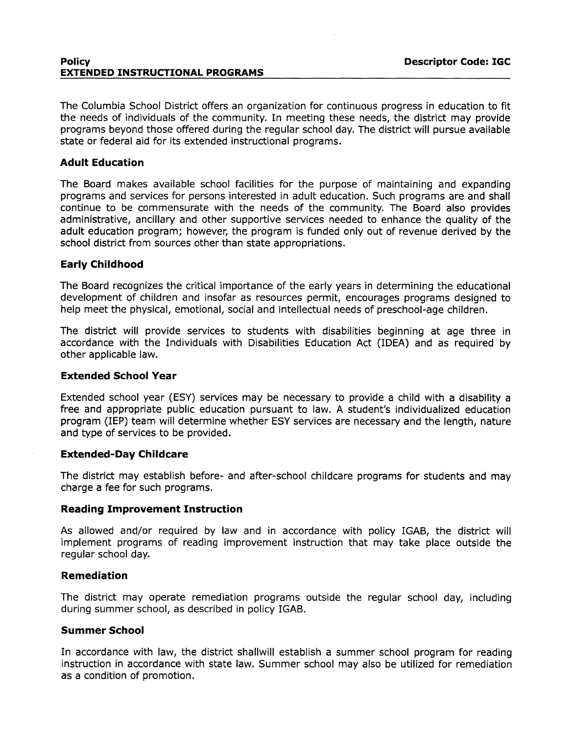#### **Policy Descriptor Code: IGC EXTENDED INSTRUCTIONAL PROGRAMS**

The Columbia School District offers an organization for continuous progress in education to fit the needs of individuals of the community. In meeting these needs, the district may provide programs beyond those offered during the regular school day. The district will pursue available state or federal aid for its extended instructional programs.

# **Adult Education**

The Board makes available school facilities for the purpose of maintaining and expanding programs and services for persons interested in adult education. Such programs are and shall continue to be commensurate with the needs of the community. The Board also provides administrative, ancillary and other supportive services needed to enhance the quality of the adult education program; however, the program is funded only out of revenue derived by the school district from sources other than state appropriations.

# **Early Childhood**

The Board recognizes the critical importance of the early years in determining the educational development of children and insofar as resources permit, encourages programs designed to help meet the physical, emotional, social and intellectual needs of preschool-age children.

The district will provide services to students with disabilities beginning at age three in accordance with the Individuals with Disabilities Education Act (IDEA) and as required by other applicable law.

### **Extended School Year**

Extended school year (ESY) services may be necessary to provide a child with a disability a free and appropriate public education pursuant to law. A student's individualized education program (IEP) team will determine whether ESY services are necessary and the length, nature and type of services to be provided.

#### **Extended-Day Childcare**

The district may establish before- and after-school childcare programs for students and may charge a fee for such programs.

#### **Reading Improvement Instruction**

As allowed and/or required by law and in accordance with policy IGAB, the district will implement programs of reading improvement instruction that may take place outside the regular school day.

### **Remediation**

The district may operate remediation programs outside the regular school day, including during summer school, as described in policy IGAB.

# **Summer School**

In accordance with law, the district shallwill establish a summer school program for reading instruction in accordance with state law. Summer school may also be utilized for remediation as a condition of promotion.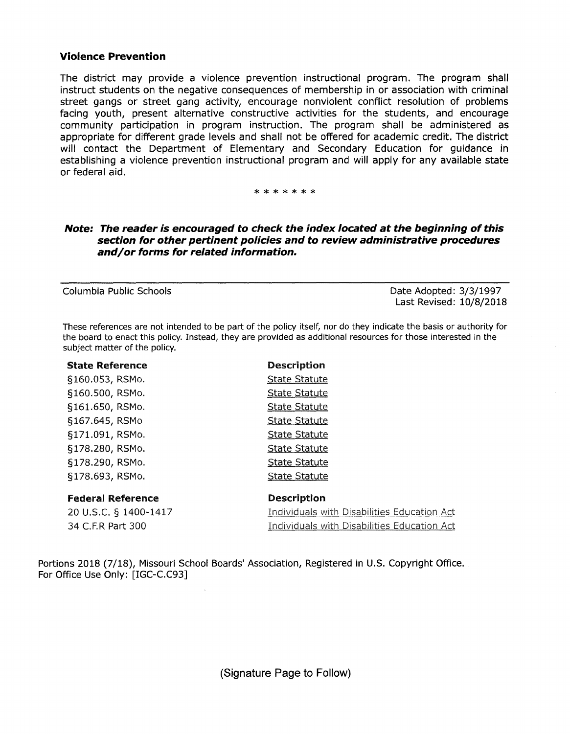# **Violence Prevention**

The district may provide a violence prevention instructional program. The program shall instruct students on the negative consequences of membership in or association with criminal street gangs or street gang activity, encourage nonviolent conflict resolution of problems facing youth, present alternative constructive activities for the students, and encourage community participation in program instruction. The program shall be administered as appropriate for different grade levels and shall not be offered for academic credit. The district will contact the Department of Elementary and Secondary Education for guidance in establishing a violence prevention instructional program and will apply for any available state or federal aid.

#### \*\*\*\*\*\*\*

# **Note: The reader is encouraged to check the index located at the beginning of this section for other pertinent policies and to review administrative procedures and/or forms for related information.**

Columbia Public Schools Date Adopted: 3/3/1997 Last Revised: 10/8/2018

These references are not intended to be part of the policy itself, nor do they indicate the basis or authority for the board to enact this policy. Instead, they are provided as additional resources for those interested in the subject matter of the policy.

| <b>State Reference</b>   | <b>Description</b>                          |
|--------------------------|---------------------------------------------|
| §160.053, RSMo.          | <b>State Statute</b>                        |
| §160.500, RSMo.          | <b>State Statute</b>                        |
| §161.650, RSMo.          | <b>State Statute</b>                        |
| §167.645, RSMo           | <b>State Statute</b>                        |
| §171.091, RSMo.          | <b>State Statute</b>                        |
| §178.280, RSMo.          | <b>State Statute</b>                        |
| §178.290, RSMo.          | <b>State Statute</b>                        |
| §178.693, RSMo.          | <b>State Statute</b>                        |
| <b>Federal Reference</b> | <b>Description</b>                          |
|                          |                                             |
| 20 U.S.C. § 1400-1417    | Individuals with Disabilities Education Act |
| 34 C.F.R Part 300        | Individuals with Disabilities Education Act |

Portions 2018 (7/18), Missouri School Boards' Association, Registered in U.S. Copyright Office. For Office Use Only: [IGC-C.C93]

(Signature Page to Follow)